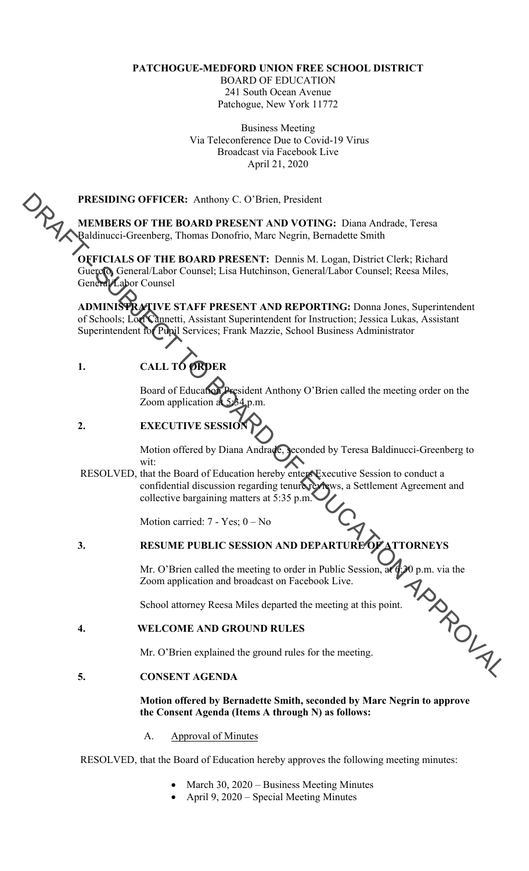## **PATCHOGUE-MEDFORD UNION FREE SCHOOL DISTRICT**

BOARD OF EDUCATION 241 South Ocean Avenue Patchogue, New York 11772

Business Meeting Via Teleconference Due to Covid-19 Virus Broadcast via Facebook Live April 21, 2020

**MEMBERS OF THE BOARD PRESENT AND VOTING:** Diana Andrade, Teresa Baldinucci-Greenberg, Thomas Donofrio, Marc Negrin, Bernadette Smith

**OFFICIALS OF THE BOARD PRESENT: Dennis M. Logan, District Clerk; Richard** Guercio, General/Labor Counsel; Lisa Hutchinson, General/Labor Counsel; Reesa Miles, General/Labor Counsel

PRESIDING OFFICER: Anthony C. O'Brien, President<br>
Makimbers Or THE ROARD PRESENT AND YOUTHING: Diana Andrado, Teresa<br>
Qualdimers: Greenberg, Themas Densities Name, Negran, District Clerk; Richard<br>
Concelled Concelled Libra **ADMINISTRATIVE STAFF PRESENT AND REPORTING:** Donna Jones, Superintendent of Schools; Lori Cannetti, Assistant Superintendent for Instruction; Jessica Lukas, Assistant Superintendent for Pupil Services; Frank Mazzie, School Business Administrator

# **1. CALL TO ORDER**

Board of Education President Anthony O'Brien called the meeting order on the Zoom application at 5:34 p.m.

# **2. EXECUTIVE SESSIC**

Motion offered by Diana Andrade, seconded by Teresa Baldinucci-Greenberg to wit:

RESOLVED, that the Board of Education hereby enters Executive Session to conduct a confidential discussion regarding tenure reviews, a Settlement Agreement and collective bargaining matters at 5:35 p.m.

Motion carried: 7 - Yes; 0 – No

# **3. RESUME PUBLIC SESSION AND DEPARTURE OF ATTORNEYS**

Mr. O'Brien called the meeting to order in Public Session, at 6:30 p.m. via the Zoom application and broadcast on Facebook Live.

School attorney Reesa Miles departed the meeting at this point.

## **4. WELCOME AND GROUND RULES**

Mr. O'Brien explained the ground rules for the meeting.

## **5. CONSENT AGENDA**

## **Motion offered by Bernadette Smith, seconded by Marc Negrin to approve the Consent Agenda (Items A through N) as follows:**

## A. Approval of Minutes

RESOLVED, that the Board of Education hereby approves the following meeting minutes:

- March 30, 2020 Business Meeting Minutes
- April 9, 2020 Special Meeting Minutes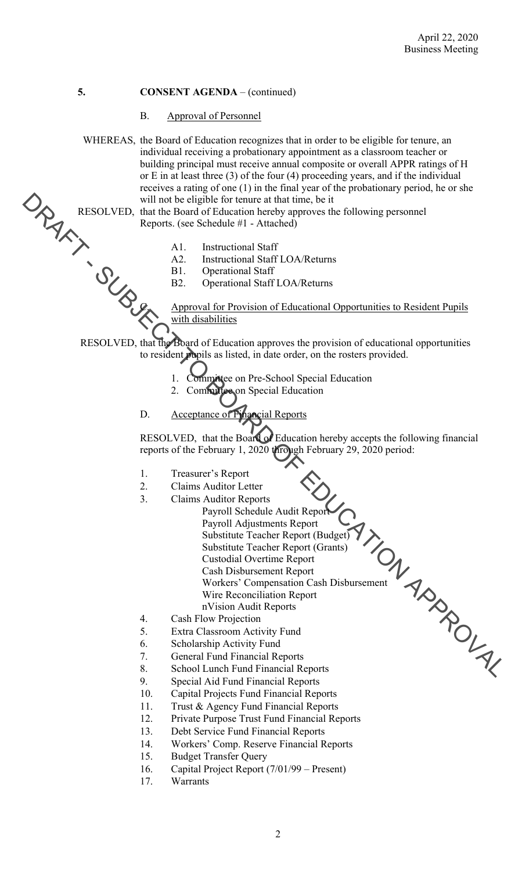### B. Approval of Personnel

RESOLVED. That the Board of Factorius Start Changes are also the Board of Factorius Start Changes and Changes are also the proposition of Eulers and Changes are also the proposition of Eulers and Changes are provided to t WHEREAS, the Board of Education recognizes that in order to be eligible for tenure, an individual receiving a probationary appointment as a classroom teacher or building principal must receive annual composite or overall APPR ratings of H or E in at least three (3) of the four (4) proceeding years, and if the individual receives a rating of one (1) in the final year of the probationary period, he or she will not be eligible for tenure at that time, be it

RESOLVED, that the Board of Education hereby approves the following personnel Reports. (see Schedule #1 - Attached)

- Instructional Staff
- Instructional Staff LOA/Returns
- B1. Operational Staff
	- Operational Staff LOA/Returns

Approval for Provision of Educational Opportunities to Resident Pupils with disabilities

RESOLVED, that the Board of Education approves the provision of educational opportunities to resident pupils as listed, in date order, on the rosters provided.

- Committee on Pre-School Special Education
- Committee on Special Education
- 

Acceptance of Financial Reports

RESOLVED, that the Board of Education hereby accepts the following financial reports of the February 1, 2020 through February 29, 2020 period:

- Treasurer's Report
- Claims Auditor Letter
- Claims Auditor Reports
	- Payroll Schedule Audit Report Payroll Adjustments Report
		- Substitute Teacher Report (Budget) Substitute Teacher Report (Grants)
		- Custodial Overtime Report
		- Cash Disbursement Report
			- Workers' Compensation Cash Disbursement Wire Reconciliation Report
		- nVision Audit Reports
- Cash Flow Projection
- Extra Classroom Activity Fund
- Scholarship Activity Fund
- **General Fund Financial Reports**
- School Lunch Fund Financial Reports
- Special Aid Fund Financial Reports
- 10. Capital Projects Fund Financial Reports
- 11. Trust & Agency Fund Financial Reports
- 12. Private Purpose Trust Fund Financial Reports
- 13. Debt Service Fund Financial Reports
- 14. Workers' Comp. Reserve Financial Reports
- 15. Budget Transfer Query
- 16. Capital Project Report (7/01/99 Present)
- 17. Warrants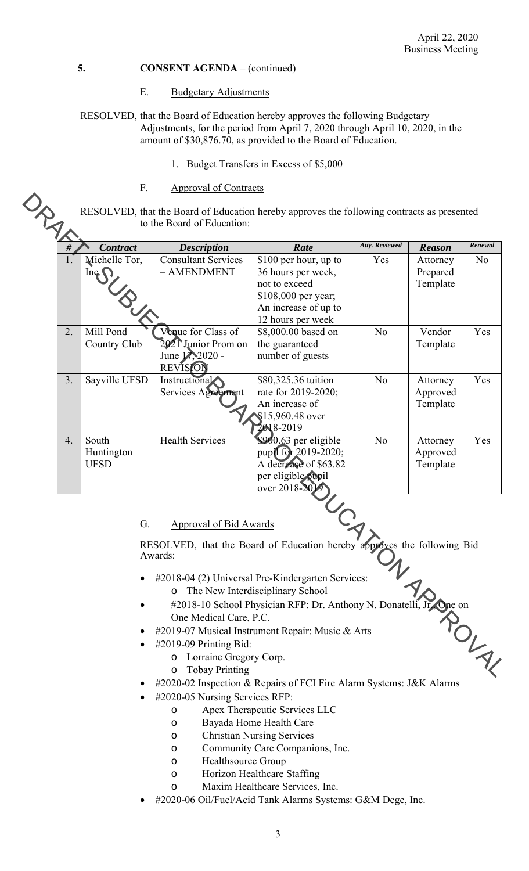### E. Budgetary Adjustments

RESOLVED, that the Board of Education hereby approves the following Budgetary Adjustments, for the period from April 7, 2020 through April 10, 2020, in the amount of \$30,876.70, as provided to the Board of Education.

- 1. Budget Transfers in Excess of \$5,000
- F. Approval of Contracts

RESOLVED, that the Board of Education hereby approves the following contracts as presented<br>to the Board of Education: to the Board of Education:

|    | <b>Contract</b>                                | <b>Description</b>                                                                     | Rate                                                                                                                                                         | Atty. Reviewed | <b>Reason</b>                    | Renewal        |
|----|------------------------------------------------|----------------------------------------------------------------------------------------|--------------------------------------------------------------------------------------------------------------------------------------------------------------|----------------|----------------------------------|----------------|
| 1. | Michelle Tor,<br>$\operatorname{Inq}\nolimits$ | <b>Consultant Services</b><br>- AMENDMENT                                              | \$100 per hour, up to<br>36 hours per week,<br>not to exceed<br>\$108,000 per year;<br>An increase of up to<br>12 hours per week                             | Yes            | Attorney<br>Prepared<br>Template | N <sub>o</sub> |
| 2. | Mill Pond<br>Country Club                      | Venue for Class of<br>2021 Junior Prom on<br>June 17, 2020 -<br><b>REVISION</b>        | \$8,000.00 based on<br>the guaranteed<br>number of guests                                                                                                    | N <sub>o</sub> | Vendor<br>Template               | Yes            |
| 3. | Sayville UFSD                                  | Instructional<br>Services Agreement                                                    | \$80,325.36 tuition<br>rate for 2019-2020;<br>An increase of<br>\$15,960.48 over<br>2018-2019                                                                | N <sub>o</sub> | Attorney<br>Approved<br>Template | Yes            |
| 4. | South<br>Huntington<br><b>UFSD</b>             | <b>Health Services</b>                                                                 | \$900.63 per eligible<br>pupil for 2019-2020;<br>A decrease of \$63.82<br>per eligible pupil<br>over 2018-20                                                 | N <sub>o</sub> | Attorney<br>Approved<br>Template | Yes            |
|    | G.                                             | <b>Approval of Bid Awards</b>                                                          |                                                                                                                                                              |                |                                  |                |
|    |                                                | Awards:                                                                                | RESOLVED, that the Board of Education hereby approves the following Bid                                                                                      |                |                                  |                |
|    |                                                | One Medical Care, P.C.                                                                 | #2018-04 (2) Universal Pre-Kindergarten Services:<br>The New Interdisciplinary School<br>#2018-10 School Physician RFP: Dr. Anthony N. Donatelli, Jr. One on |                |                                  |                |
|    |                                                | $\#2019-09$ Printing Bid:<br>Lorraine Gregory Corp.<br>O<br><b>Tobay Printing</b><br>O | #2019-07 Musical Instrument Repair: Music & Arts                                                                                                             |                | ROLY                             |                |

## G. Approval of Bid Awards

- #2018-04 (2) Universal Pre-Kindergarten Services: o The New Interdisciplinary School
- #2018-10 School Physician RFP: Dr. Anthony N. Donatelli, Jr., One on One Medical Care, P.C.
- #2019-07 Musical Instrument Repair: Music & Arts
- $\bullet$  #2019-09 Printing Bid:
	- o Lorraine Gregory Corp.
	- o Tobay Printing
- #2020-02 Inspection & Repairs of FCI Fire Alarm Systems: J&K Alarms
- #2020-05 Nursing Services RFP:
	- o Apex Therapeutic Services LLC
	- o Bayada Home Health Care
		- o Christian Nursing Services
		- o Community Care Companions, Inc.
		- o Healthsource Group
		- o Horizon Healthcare Staffing
		- o Maxim Healthcare Services, Inc.
- #2020-06 Oil/Fuel/Acid Tank Alarms Systems: G&M Dege, Inc.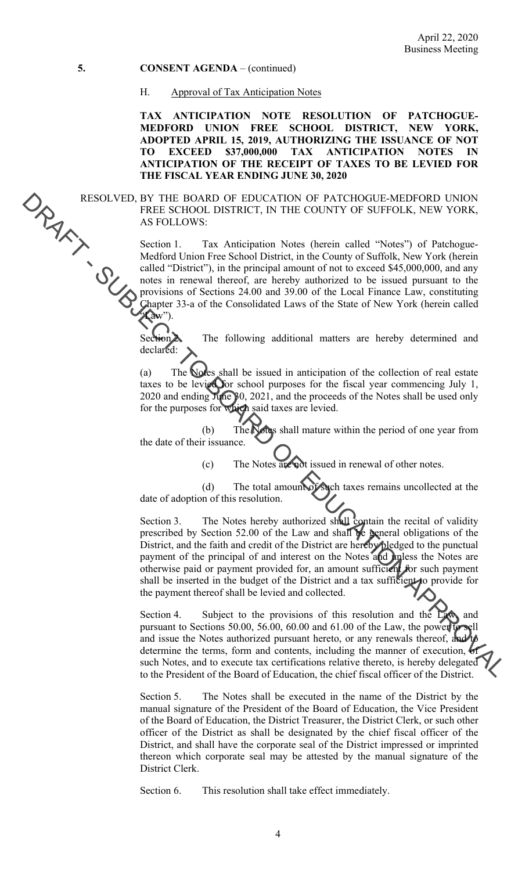#### H. Approval of Tax Anticipation Notes

**TAX ANTICIPATION NOTE RESOLUTION OF PATCHOGUE-MEDFORD UNION FREE SCHOOL DISTRICT, NEW YORK, ADOPTED APRIL 15, 2019, AUTHORIZING THE ISSUANCE OF NOT TO EXCEED \$37,000,000 TAX ANTICIPATION NOTES IN ANTICIPATION OF THE RECEIPT OF TAXES TO BE LEVIED FOR THE FISCAL YEAR ENDING JUNE 30, 2020** 

RESOLVED, BY THE BOARD OF EDUCATION OF PATCHOGUE-MEDFORD UNION FREE SCHOOL DISTRICT, IN THE COUNTY OF SUFFOLK, NEW YORK, AS FOLLOWS:

> Section 1. Tax Anticipation Notes (herein called "Notes") of Patchogue-Medford Union Free School District, in the County of Suffolk, New York (herein called "District"), in the principal amount of not to exceed \$45,000,000, and any notes in renewal thereof, are hereby authorized to be issued pursuant to the provisions of Sections 24.00 and 39.00 of the Local Finance Law, constituting Chapter 33-a of the Consolidated Laws of the State of New York (herein called "Law").

Section 2. The following additional matters are hereby determined and declared:

 $\ddot{\phantom{0}}$ (a) The Notes shall be issued in anticipation of the collection of real estate taxes to be levied for school purposes for the fiscal year commencing July 1, 2020 and ending June 30, 2021, and the proceeds of the Notes shall be used only for the purposes for which said taxes are levied.

 (b) The Notes shall mature within the period of one year from the date of their issuance.

(c) The Notes are not issued in renewal of other notes.

(d) The total amount of such taxes remains uncollected at the date of adoption of this resolution.

Section 3. The Notes hereby authorized shall contain the recital of validity otherwise paid or payment provided for, an amount sufficient for such payment RESOLVED FRONCHOLOGY DEDUCATION OF PATCHOLOGY-MEDEPORTDUXING<br>
FRI-B SCHOOL DISTRICT, IN THE COUNTY OF SUEHOLN, NEW YORK,<br>
AS FOLLOWS:<br>
AS FOLLOWS:<br>
AS FOLLOWS:<br>
SUEHOL That Antispation Notes (herein called "Notes") of Patc prescribed by Section 52.00 of the Law and shall be general obligations of the District, and the faith and credit of the District are hereby pledged to the punctual payment of the principal of and interest on the Notes and unless the Notes are shall be inserted in the budget of the District and a tax sufficient to provide for the payment thereof shall be levied and collected.

Section 4. Subject to the provisions of this resolution and the Law, and pursuant to Sections 50.00, 56.00, 60.00 and  $61.00$  of the Law, the power to and issue the Notes authorized pursuant hereto, or any renewals thereof, and determine the terms, form and contents, including the manner of execution,  $\epsilon$ such Notes, and to execute tax certifications relative thereto, is hereby delegated to the President of the Board of Education, the chief fiscal officer of the District.

 Section 5. The Notes shall be executed in the name of the District by the manual signature of the President of the Board of Education, the Vice President of the Board of Education, the District Treasurer, the District Clerk, or such other officer of the District as shall be designated by the chief fiscal officer of the District, and shall have the corporate seal of the District impressed or imprinted thereon which corporate seal may be attested by the manual signature of the District Clerk.

Section 6. This resolution shall take effect immediately.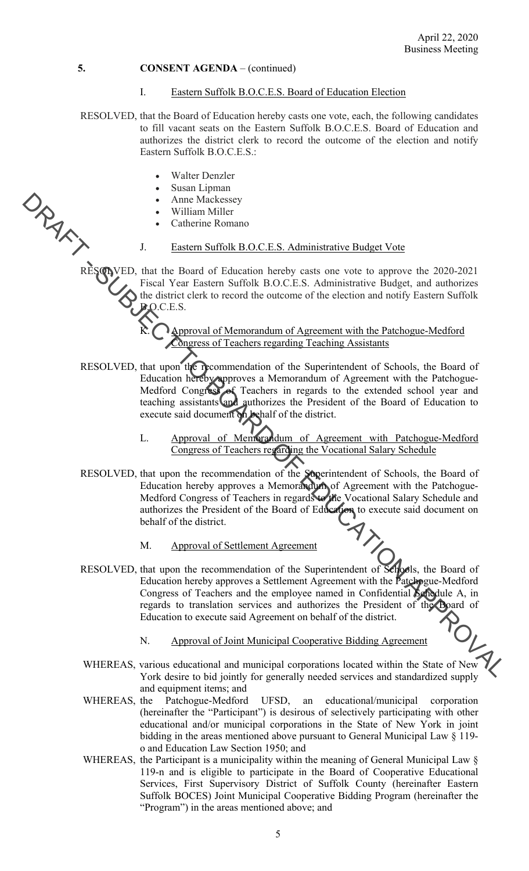#### I. Eastern Suffolk B.O.C.E.S. Board of Education Election

- RESOLVED, that the Board of Education hereby casts one vote, each, the following candidates to fill vacant seats on the Eastern Suffolk B.O.C.E.S. Board of Education and authorizes the district clerk to record the outcome of the election and notify Eastern Suffolk B.O.C.E.S.:
	- Walter Denzler
	- Susan Lipman
	- Anne Mackessey
	- William Miller
	- Catherine Romano

#### J. Eastern Suffolk B.O.C.E.S. Administrative Budget Vote

RESOLVED, that the Board of Education hereby casts one vote to approve the 2020-2021 Fiscal Year Eastern Suffolk B.O.C.E.S. Administrative Budget, and authorizes the district clerk to record the outcome of the election and notify Eastern Suffolk B.O.C.E.S.

> $\mathbf{K}$ .  $\bigcap_{\mathbf{Approx}\mathbf{A}}$  **Approval of Memorandum of Agreement with the Patchogue-Medford** Congress of Teachers regarding Teaching Assistants

- Medford Congress of Teachers in regards to the extended school year and RESOLVED, that upon the recommendation of the Superintendent of Schools, the Board of Education hereby approves a Memorandum of Agreement with the Patchogueteaching assistants and authorizes the President of the Board of Education to execute said document on behalf of the district.
	- L. Approval of Memorandum of Agreement with Patchogue-Medford Congress of Teachers regarding the Vocational Salary Schedule
- A The the Board of Medicine Calculates (Street). The three controls in the Board of Calculation (Street) and the David of Electric Revise Control of Street Action (Street Action 2001). The three David Control of Calculati RESOLVED, that upon the recommendation of the Superintendent of Schools, the Board of Education hereby approves a Memorandum of Agreement with the Patchogue-Medford Congress of Teachers in regards to the Vocational Salary Schedule and authorizes the President of the Board of Education to execute said document on behalf of the district.
	- M. Approval of Settlement Agreement
	- RESOLVED, that upon the recommendation of the Superintendent of Schools, the Board of Education hereby approves a Settlement Agreement with the Patchogue-Medford Congress of Teachers and the employee named in Confidential Schedule A, in regards to translation services and authorizes the President of the Board of Education to execute said Agreement on behalf of the district.
		- N. Approval of Joint Municipal Cooperative Bidding Agreement
	- WHEREAS, various educational and municipal corporations located within the State of New York desire to bid jointly for generally needed services and standardized supply and equipment items; and
	- WHEREAS, the Patchogue-Medford UFSD, an educational/municipal corporation (hereinafter the "Participant") is desirous of selectively participating with other educational and/or municipal corporations in the State of New York in joint bidding in the areas mentioned above pursuant to General Municipal Law § 119 o and Education Law Section 1950; and
	- WHEREAS, the Participant is a municipality within the meaning of General Municipal Law § 119-n and is eligible to participate in the Board of Cooperative Educational Services, First Supervisory District of Suffolk County (hereinafter Eastern Suffolk BOCES) Joint Municipal Cooperative Bidding Program (hereinafter the "Program") in the areas mentioned above; and